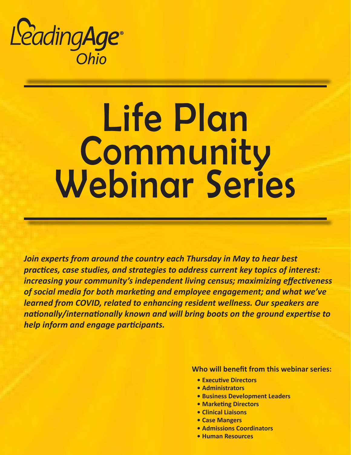

# Life Plan **Community** Webinar Series

*Join experts from around the country each Thursday in May to hear best practices, case studies, and strategies to address current key topics of interest: increasing your community's independent living census; maximizing effectiveness of social media for both marketing and employee engagement; and what we've learned from COVID, related to enhancing resident wellness. Our speakers are nationally/internationally known and will bring boots on the ground expertise to help inform and engage participants.*

**Who will benefit from this webinar series:**

- **• Executive Directors**
- **• Administrators**
- **• Business Development Leaders**
- **• Marketing Directors**
- **• Clinical Liaisons**
- **• Case Mangers**
- **• Admissions Coordinators**
- **• Human Resources**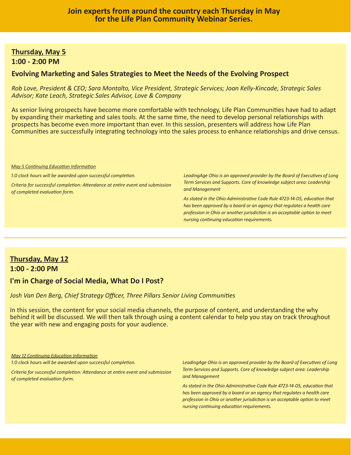## **Thursday, May 5 1:00 - 2:00 PM**

## **Evolving Marketing and Sales Strategies to Meet the Needs of the Evolving Prospect**

*Rob Love, President & CEO; Sara Montalto, Vice President, Strategic Services; Joan Kelly-Kincade, Strategic Sales Advisor; Kate Leach, Strategic Sales Advisor, Love & Company*

As senior living prospects have become more comfortable with technology, Life Plan Communities have had to adapt by expanding their marketing and sales tools. At the same time, the need to develop personal relationships with prospects has become even more important than ever. In this session, presenters will address how Life Plan Communities are successfully integrating technology into the sales process to enhance relationships and drive census.

*May 5 Continuing Education Information*

*1.0 clock hours will be awarded upon successful completion.*

*Criteria for successful completion: Attendance at entire event and submission of completed evaluation form.*

*LeadingAge Ohio is an approved provider by the Board of Executives of Long Term Services and Supports. Core of knowledge subject area: Leadership and Management*

*As stated in the Ohio Administrative Code Rule 4723-14-05, education that has been approved by a board or an agency that regulates a health care profession in Ohio or another jurisdiction is an acceptable option to meet nursing continuing education requirements.* 

## **Thursday, May 12 1:00 - 2:00 PM**

## **I'm in Charge of Social Media, What Do I Post?**

*Josh Van Den Berg, Chief Strategy Officer, Three Pillars Senior Living Communities*

In this session, the content for your social media channels, the purpose of content, and understanding the why behind it will be discussed. We will then talk through using a content calendar to help you stay on track throughout the year with new and engaging posts for your audience.

*May 12 Continuing Education Information*

*1.0 clock hours will be awarded upon successful completion.* 

*Criteria for successful completion: Attendance at entire event and submission of completed evaluation form.*

*LeadingAge Ohio is an approved provider by the Board of Executives of Long Term Services and Supports. Core of knowledge subject area: Leadership and Management*

*As stated in the Ohio Administrative Code Rule 4723-14-05, education that has been approved by a board or an agency that regulates a health care profession in Ohio or another jurisdiction is an acceptable option to meet nursing continuing education requirements.*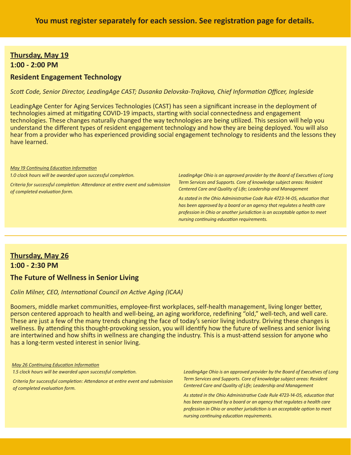## **Thursday, May 19 1:00 - 2:00 PM**

## **Resident Engagement Technology**

*Scott Code, Senior Director, LeadingAge CAST; Dusanka Delovska-Trajkova, Chief Information Officer, Ingleside*

LeadingAge Center for Aging Services Technologies (CAST) has seen a significant increase in the deployment of technologies aimed at mitigating COVID-19 impacts, starting with social connectedness and engagement technologies. These changes naturally changed the way technologies are being utilized. This session will help you understand the different types of resident engagement technology and how they are being deployed. You will also hear from a provider who has experienced providing social engagement technology to residents and the lessons they have learned.

#### *May 19 Continuing Education Information*

*1.0 clock hours will be awarded upon successful completion.*

*Criteria for successful completion: Attendance at entire event and submission of completed evaluation form.*

*LeadingAge Ohio is an approved provider by the Board of Executives of Long Term Services and Supports. Core of knowledge subject areas: Resident Centered Care and Quality of Life; Leadership and Management*

*As stated in the Ohio Administrative Code Rule 4723-14-05, education that has been approved by a board or an agency that regulates a health care profession in Ohio or another jurisdiction is an acceptable option to meet nursing continuing education requirements.* 

## **Thursday, May 26 1:00 - 2:30 PM**

## **The Future of Wellness in Senior Living**

### *Colin Milner, CEO, International Council on Active Aging (ICAA)*

Boomers, middle market communities, employee-first workplaces, self-health management, living longer better, person centered approach to health and well-being, an aging workforce, redefining "old," well-tech, and well care. These are just a few of the many trends changing the face of today's senior living industry. Driving these changes is wellness. By attending this thought-provoking session, you will identify how the future of wellness and senior living are intertwined and how shifts in wellness are changing the industry. This is a must-attend session for anyone who has a long-term vested interest in senior living.

*May 26 Continuing Education Information*

*1.5 clock hours will be awarded upon successful completion.*

*Criteria for successful completion: Attendance at entire event and submission of completed evaluation form.*

*LeadingAge Ohio is an approved provider by the Board of Executives of Long Term Services and Supports. Core of knowledge subject areas: Resident Centered Care and Quality of Life; Leadership and Management*

*As stated in the Ohio Administrative Code Rule 4723-14-05, education that has been approved by a board or an agency that regulates a health care profession in Ohio or another jurisdiction is an acceptable option to meet nursing continuing education requirements.*